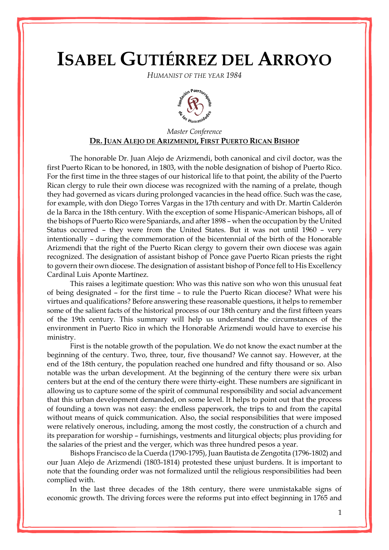## **ISABEL GUTIÉRREZ DEL ARROYO**

*HUMANIST OF THE YEAR 1984*



## *Master Conference* **DR. JUAN ALEJO DE ARIZMENDI, FIRST PUERTO RICAN BISHOP**

The honorable Dr. Juan Alejo de Arizmendi, both canonical and civil doctor, was the first Puerto Rican to be honored, in 1803, with the noble designation of bishop of Puerto Rico. For the first time in the three stages of our historical life to that point, the ability of the Puerto Rican clergy to rule their own diocese was recognized with the naming of a prelate, though they had governed as vicars during prolonged vacancies in the head office. Such was the case, for example, with don Diego Torres Vargas in the 17th century and with Dr. Martín Calderón de la Barca in the 18th century. With the exception of some Hispanic-American bishops, all of the bishops of Puerto Rico were Spaniards, and after 1898 – when the occupation by the United Status occurred – they were from the United States. But it was not until 1960 – very intentionally – during the commemoration of the bicentennial of the birth of the Honorable Arizmendi that the right of the Puerto Rican clergy to govern their own diocese was again recognized. The designation of assistant bishop of [Ponce](http://www.enciclopediapr.org/ing/article.cfm?ref=09012901) gave Puerto Rican priests the right to govern their own diocese. The designation of assistant bishop of Ponce fell to His Excellency Cardinal Luis Aponte Martínez.

This raises a legitimate question: Who was this native son who won this unusual feat of being designated – for the first time – to rule the Puerto Rican diocese? What were his virtues and qualifications? Before answering these reasonable questions, it helps to remember some of the salient facts of the historical process of our 18th century and the first fifteen years of the 19th century. This summary will help us understand the circumstances of the environment in Puerto Rico in which the Honorable Arizmendi would have to exercise his ministry.

First is the notable growth of the population. We do not know the exact number at the beginning of the century. Two, three, tour, five thousand? We cannot say. However, at the end of the 18th century, the population reached one hundred and fifty thousand or so. Also notable was the urban development. At the beginning of the century there were six urban centers but at the end of the century there were thirty-eight. These numbers are significant in allowing us to capture some of the spirit of communal responsibility and social advancement that this urban development demanded, on some level. It helps to point out that the process of founding a town was not easy: the endless paperwork, the trips to and from the capital without means of quick communication. Also, the social responsibilities that were imposed were relatively onerous, including, among the most costly, the construction of a church and its preparation for worship – furnishings, vestments and liturgical objects; plus providing for the salaries of the priest and the verger, which was three hundred pesos a year.

Bishops Francisco de la Cuerda (1790-1795), Juan Bautista de Zengotita (1796-1802) and our Juan Alejo de Arizmendi (1803-1814) protested these unjust burdens. It is important to note that the founding order was not formalized until the religious responsibilities had been complied with.

In the last three decades of the 18th century, there were unmistakable signs of economic growth. The driving forces were the reforms put into effect beginning in 1765 and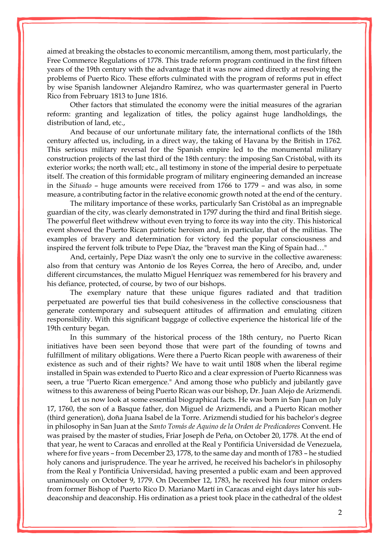aimed at breaking the obstacles to economic mercantilism, among them, most particularly, the Free Commerce Regulations of 1778. This trade reform program continued in the first fifteen years of the 19th century with the advantage that it was now aimed directly at resolving the problems of Puerto Rico. These efforts culminated with the program of reforms put in effect by wise Spanish landowner Alejandro Ramírez, who was quartermaster general in Puerto Rico from February 1813 to June 1816.

Other factors that stimulated the economy were the initial measures of the agrarian reform: granting and legalization of titles, the policy against huge landholdings, the distribution of land, etc.,

And because of our unfortunate military fate, the international conflicts of the 18th century affected us, including, in a direct way, the taking of Havana by the British in 1762. This serious military reversal for the Spanish empire led to the monumental military construction projects of the last third of the 18th century: the imposing San Cristóbal, with its exterior works; the north wall; etc., all testimony in stone of the imperial desire to perpetuate itself. The creation of this formidable program of military engineering demanded an increase in the *Situado* – huge amounts were received from 1766 to 1779 – and was also, in some measure, a contributing factor in the relative economic growth noted at the end of the century.

The military importance of these works, particularly San Cristóbal as an impregnable guardian of the city, was clearly demonstrated in 1797 during the third and final British siege. The powerful fleet withdrew without even trying to force its way into the city. This historical event showed the Puerto Rican patriotic heroism and, in particular, that of the militias. The examples of bravery and determination for victory fed the popular consciousness and inspired the fervent folk tribute to Pepe Díaz, the "bravest man the King of Spain had…"

And, certainly, Pepe Díaz wasn't the only one to survive in the collective awareness: also from that century was Antonio de los Reyes Correa, the hero of Arecibo, and, under different circumstances, the mulatto Miguel Henríquez was remembered for his bravery and his defiance, protected, of course, by two of our bishops.

The exemplary nature that these unique figures radiated and that tradition perpetuated are powerful ties that build cohesiveness in the collective consciousness that generate contemporary and subsequent attitudes of affirmation and emulating citizen responsibility. With this significant baggage of collective experience the historical life of the 19th century began.

In this summary of the historical process of the 18th century, no Puerto Rican initiatives have been seen beyond those that were part of the founding of towns and fulfillment of military obligations. Were there a Puerto Rican people with awareness of their existence as such and of their rights? We have to wait until 1808 when the liberal regime installed in Spain was extended to Puerto Rico and a clear expression of Puerto Ricanness was seen, a true "Puerto Rican emergence." And among those who publicly and jubilantly gave witness to this awareness of being Puerto Rican was our bishop, Dr. Juan Alejo de Arizmendi.

Let us now look at some essential biographical facts. He was born in San Juan on July 17, 1760, the son of a Basque father, don Miguel de Arizmendi, and a Puerto Rican mother (third generation), doña Juana Isabel de la Torre. Arizmendi studied for his bachelor's degree in philosophy in San Juan at the *Santo Tomás de Aquino de la Orden de Predicadores* Convent. He was praised by the master of studies, Friar Joseph de Peña, on October 20, 1778. At the end of that year, he went to Caracas and enrolled at the Real y Pontificia Universidad de Venezuela, where for five years – from December 23, 1778, to the same day and month of 1783 – he studied holy canons and jurisprudence. The year he arrived, he received his bachelor's in philosophy from the Real y Pontificia Universidad, having presented a public exam and been approved unanimously on October 9, 1779. On December 12, 1783, he received his four minor orders from former Bishop of Puerto Rico D. Mariano Martí in Caracas and eight days later his subdeaconship and deaconship. His ordination as a priest took place in the cathedral of the oldest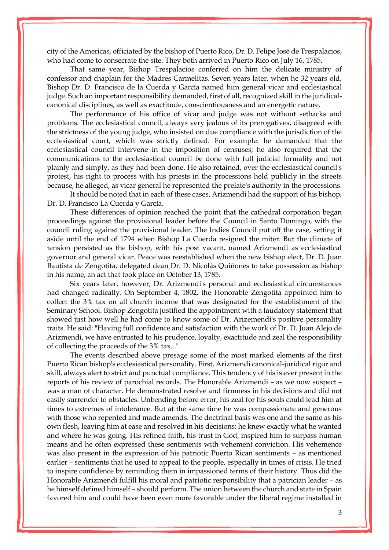city of the Americas, officiated by the bishop of Puerto Rico, Dr. D. Felipe José de Trespalacios, who had come to consecrate the site. They both arrived in Puerto Rico on July 16, 1785.

That same year, Bishop Trespalacios conferred on him the delicate ministry of confessor and chaplain for the Madres Carmelitas. Seven years later, when he 32 years old, Bishop Dr. D. Francisco de la Cuerda y García named him general vicar and ecclesiastical judge. Such an important responsibility demanded, first of all, recognized skill in the juridicalcanonical disciplines, as well as exactitude, conscientiousness and an energetic nature.

The performance of his office of vicar and judge was not without setbacks and problems. The ecclesiastical council, always very jealous of its prerogatives, disagreed with the strictness of the young judge, who insisted on due compliance with the jurisdiction of the ecclesiastical court, which was strictly defined. For example: he demanded that the ecclesiastical council intervene in the imposition of censuses; he also required that the communications to the ecclesiastical council be done with full judicial formality and not plainly and simply, as they had been done. He also retained, over the ecclesiastical council's protest, his right to process with his priests in the processions held publicly in the streets because, he alleged, as vicar general he represented the prelate's authority in the processions.

It should be noted that in each of these cases, Arizmendi had the support of his bishop, Dr. D. Francisco La Cuerda y García.

These differences of opinion reached the point that the cathedral corporation began proceedings against the provisional leader before the Council in Santo Domingo, with the council ruling against the provisional leader. The Indies Council put off the case, setting it aside until the end of 1794 when Bishop La Cuerda resigned the miter. But the climate of tension persisted as the bishop, with his post vacant, named Arizmendi as ecclesiastical governor and general vicar. Peace was reestablished when the new bishop elect, Dr. D. Juan Bautista de Zengotita, delegated dean Dr. D. Nicolás Quiñones to take possession as bishop in his name, an act that took place on October 13, 1785.

Six years later, however, Dr. Arizmendi's personal and ecclesiastical circumstances had changed radically. On September 4, 1802, the Honorable Zengotita appointed him to collect the 3% tax on all church income that was designated for the establishment of the Seminary School. Bishop Zengotita justified the appointment with a laudatory statement that showed just how well he had come to know some of Dr. Arizemendi's positive personality traits. He said: "Having full confidence and satisfaction with the work of Dr. D. Juan Alejo de Arizmendi, we have entrusted to his prudence, loyalty, exactitude and zeal the responsibility of collecting the proceeds of the 3% tax..."

The events described above presage some of the most marked elements of the first Puerto Rican bishop's ecclesiastical personality. First, Arizmendi canonical-juridical rigor and skill, always alert to strict and punctual compliance. This tendency of his is ever present in the reports of his review of parochial records. The Honorable Arizmendi – as we now suspect – was a man of character. He demonstrated resolve and firmness in his decisions and did not easily surrender to obstacles. Unbending before error, his zeal for his souls could lead him at times to extremes of intolerance. But at the same time he was compassionate and generous with those who repented and made amends. The doctrinal basis was one and the same as his own flesh, leaving him at ease and resolved in his decisions: he knew exactly what he wanted and where he was going. His refined faith, his trust in God, inspired him to surpass human means and he often expressed these sentiments with vehement conviction. His vehemence was also present in the expression of his patriotic Puerto Rican sentiments – as mentioned earlier – sentiments that he used to appeal to the people, especially in times of crisis. He tried to inspire confidence by reminding them in impassioned terms of their history. Thus did the Honorable Arizmendi fulfill his moral and patriotic responsibility that a patrician leader – as he himself defined himself – should perform. The union between the church and state in Spain favored him and could have been even more favorable under the liberal regime installed in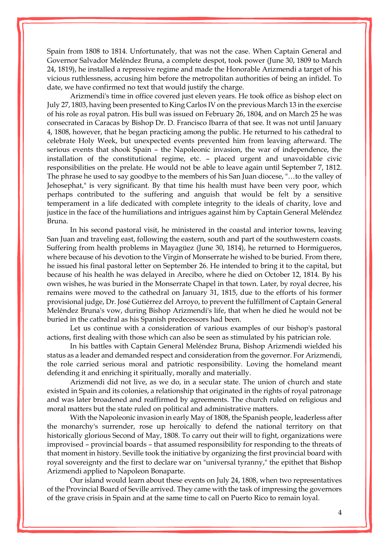Spain from 1808 to 1814. Unfortunately, that was not the case. When Captain General and Governor Salvador Meléndez Bruna, a complete despot, took power (June 30, 1809 to March 24, 1819), he installed a repressive regime and made the Honorable Arizmendi a target of his vicious ruthlessness, accusing him before the metropolitan authorities of being an infidel. To date, we have confirmed no text that would justify the charge.

Arizmendi's time in office covered just eleven years. He took office as bishop elect on July 27, 1803, having been presented to King Carlos IV on the previous March 13 in the exercise of his role as royal patron. His bull was issued on February 26, 1804, and on March 25 he was consecrated in Caracas by Bishop Dr. D. Francisco Ibarra of that see. It was not until January 4, 1808, however, that he began practicing among the public. He returned to his cathedral to celebrate Holy Week, but unexpected events prevented him from leaving afterward. The serious events that shook Spain – the Napoleonic invasion, the war of independence, the installation of the constitutional regime, etc. – placed urgent and unavoidable civic responsibilities on the prelate. He would not be able to leave again until September 7, 1812. The phrase he used to say goodbye to the members of his San Juan diocese, "…to the valley of Jehosephat," is very significant. By that time his health must have been very poor, which perhaps contributed to the suffering and anguish that would be felt by a sensitive temperament in a life dedicated with complete integrity to the ideals of charity, love and justice in the face of the humiliations and intrigues against him by Captain General Meléndez Bruna.

In his second pastoral visit, he ministered in the coastal and interior towns, leaving San Juan and traveling east, following the eastern, south and part of the southwestern coasts. Suffering from health problems in [Mayagüez](http://www.enciclopediapr.org/ing/article.cfm?ref=08021702) (June 30, 1814), he returned to Hormigueros, where because of his devotion to the Virgin of Monserrate he wished to be buried. From there, he issued his final pastoral letter on September 26. He intended to bring it to the capital, but because of his health he was delayed in Arecibo, where he died on October 12, 1814. By his own wishes, he was buried in the Monserrate Chapel in that town. Later, by royal decree, his remains were moved to the cathedral on January 31, 1815, due to the efforts of his former provisional judge, Dr. José Gutiérrez del Arroyo, to prevent the fulfillment of Captain General Meléndez Bruna's vow, during Bishop Arizmendi's life, that when he died he would not be buried in the cathedral as his Spanish predecessors had been.

Let us continue with a consideration of various examples of our bishop's pastoral actions, first dealing with those which can also be seen as stimulated by his patrician role.

In his battles with Captain General Meléndez Bruna, Bishop Arizmendi wielded his status as a leader and demanded respect and consideration from the governor. For Arizmendi, the role carried serious moral and patriotic responsibility. Loving the homeland meant defending it and enriching it spiritually, morally and materially.

Arizmendi did not live, as we do, in a secular state. The union of church and state existed in Spain and its colonies, a relationship that originated in the rights of royal patronage and was later broadened and reaffirmed by agreements. The church ruled on religious and moral matters but the state ruled on political and administrative matters.

With the Napoleonic invasion in early May of 1808, the Spanish people, leaderless after the monarchy's surrender, rose up heroically to defend the national territory on that historically glorious Second of May, 1808. To carry out their will to fight, organizations were improvised – provincial boards – that assumed responsibility for responding to the threats of that moment in history. Seville took the initiative by organizing the first provincial board with royal sovereignty and the first to declare war on "universal tyranny," the epithet that Bishop Arizmendi applied to Napoleon Bonaparte.

Our island would learn about these events on July 24, 1808, when two representatives of the Provincial Board of Seville arrived. They came with the task of impressing the governors of the grave crisis in Spain and at the same time to call on Puerto Rico to remain loyal.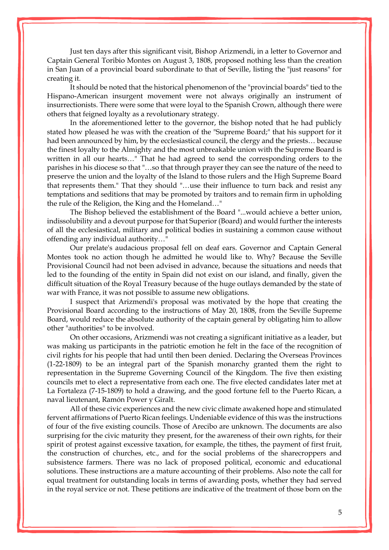Just ten days after this significant visit, Bishop Arizmendi, in a letter to Governor and Captain General Toribio Montes on August 3, 1808, proposed nothing less than the creation in San Juan of a provincial board subordinate to that of Seville, listing the "just reasons" for creating it.

It should be noted that the historical phenomenon of the "provincial boards" tied to the Hispano-American insurgent movement were not always originally an instrument of insurrectionists. There were some that were loyal to the Spanish Crown, although there were others that feigned loyalty as a revolutionary strategy.

In the aforementioned letter to the governor, the bishop noted that he had publicly stated how pleased he was with the creation of the "Supreme Board;" that his support for it had been announced by him, by the ecclesiastical council, the clergy and the priests… because the finest loyalty to the Almighty and the most unbreakable union with the Supreme Board is written in all our hearts…" That he had agreed to send the corresponding orders to the parishes in his diocese so that "…so that through prayer they can see the nature of the need to preserve the union and the loyalty of the Island to those rulers and the High Supreme Board that represents them." That they should "…use their influence to turn back and resist any temptations and seditions that may be promoted by traitors and to remain firm in upholding the rule of the Religion, the King and the Homeland…"

The Bishop believed the establishment of the Board "...would achieve a better union, indissolubility and a devout purpose for that Superior (Board) and would further the interests of all the ecclesiastical, military and political bodies in sustaining a common cause without offending any individual authority…"

Our prelate's audacious proposal fell on deaf ears. Governor and Captain General Montes took no action though he admitted he would like to. Why? Because the Seville Provisional Council had not been advised in advance, because the situations and needs that led to the founding of the entity in Spain did not exist on our island, and finally, given the difficult situation of the Royal Treasury because of the huge outlays demanded by the state of war with France, it was not possible to assume new obligations.

I suspect that Arizmendi's proposal was motivated by the hope that creating the Provisional Board according to the instructions of May 20, 1808, from the Seville Supreme Board, would reduce the absolute authority of the captain general by obligating him to allow other "authorities" to be involved.

On other occasions, Arizmendi was not creating a significant initiative as a leader, but was making us participants in the patriotic emotion he felt in the face of the recognition of civil rights for his people that had until then been denied. Declaring the Overseas Provinces (1-22-1809) to be an integral part of the Spanish monarchy granted them the right to representation in the Supreme Governing Council of the Kingdom. The five then existing councils met to elect a representative from each one. The five elected candidates later met at La Fortaleza (7-15-1809) to hold a drawing, and the good fortune fell to the Puerto Rican, a naval lieutenant, Ramón Power y Giralt.

All of these civic experiences and the new civic climate awakened hope and stimulated fervent affirmations of Puerto Rican feelings. Undeniable evidence of this was the instructions of four of the five existing councils. Those of [Arecibo](http://www.enciclopediapr.org/ing/article.cfm?ref=09022301) are unknown. The documents are also surprising for the civic maturity they present, for the awareness of their own rights, for their spirit of protest against excessive taxation, for example, the tithes, the payment of first fruit, the construction of churches, etc., and for the social problems of the sharecroppers and subsistence farmers. There was no lack of proposed political, economic and educational solutions. These instructions are a mature accounting of their problems. Also note the call for equal treatment for outstanding locals in terms of awarding posts, whether they had served in the royal service or not. These petitions are indicative of the treatment of those born on the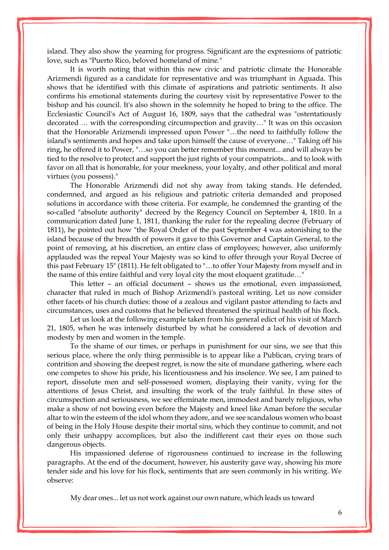island. They also show the yearning for progress. Significant are the expressions of patriotic love, such as "Puerto Rico, beloved homeland of mine."

It is worth noting that within this new civic and patriotic climate the Honorable Arizmendi figured as a candidate for representative and was triumphant in Aguada. This shows that he identified with this climate of aspirations and patriotic sentiments. It also confirms his emotional statements during the courtesy visit by representative Power to the bishop and his council. It's also shown in the solemnity he hoped to bring to the office. The Ecclesiastic Council's Act of August 16, 1809, says that the cathedral was "ostentatiously decorated … with the corresponding circumspection and gravity…" It was on this occasion that the Honorable Arizmendi impressed upon Power "…the need to faithfully follow the island's sentiments and hopes and take upon himself the cause of everyone…" Taking off his ring, he offered it to Power, "…so you can better remember this moment... and will always be tied to the resolve to protect and support the just rights of your compatriots... and to look with favor on all that is honorable, for your meekness, your loyalty, and other political and moral virtues (you possess)."

The Honorable Arizmendi did not shy away from taking stands. He defended, condemned, and argued as his religious and patriotic criteria demanded and proposed solutions in accordance with those criteria. For example, he condemned the granting of the so-called "absolute authority" decreed by the Regency Council on September 4, 1810. In a communication dated June 1, 1811, thanking the ruler for the repealing decree (February of 1811), he pointed out how "the Royal Order of the past September 4 was astonishing to the island because of the breadth of powers it gave to this Governor and Captain General, to the point of removing, at his discretion, an entire class of employees; however, also uniformly applauded was the repeal Your Majesty was so kind to offer through your Royal Decree of this past February 15" (1811). He felt obligated to "…to offer Your Majesty from myself and in the name of this entire faithful and very loyal city the most eloquent gratitude…"

This letter – an official document – shows us the emotional, even impassioned, character that ruled in much of Bishop Arizmendi's pastoral writing. Let us now consider other facets of his church duties: those of a zealous and vigilant pastor attending to facts and circumstances, uses and customs that he believed threatened the spiritual health of his flock.

Let us look at the following example taken from his general edict of his visit of March 21, 1805, when he was intensely disturbed by what he considered a lack of devotion and modesty by men and women in the temple.

To the shame of our times, or perhaps in punishment for our sins, we see that this serious place, where the only thing permissible is to appear like a Publican, crying tears of contrition and showing the deepest regret, is now the site of mundane gathering, where each one competes to show his pride, his licentiousness and his insolence. We see, I am pained to report, dissolute men and self-possessed women, displaying their vanity, vying for the attentions of Jesus Christ, and insulting the work of the truly faithful. In these sites of circumspection and seriousness, we see effeminate men, immodest and barely religious, who make a show of not bowing even before the Majesty and kneel like Aman before the secular altar to win the esteem of the idol whom they adore, and we see scandalous women who boast of being in the Holy House despite their mortal sins, which they continue to commit, and not only their unhappy accomplices, but also the indifferent cast their eyes on those such dangerous objects.

His impassioned defense of rigorousness continued to increase in the following paragraphs. At the end of the document, however, his austerity gave way, showing his more tender side and his love for his flock, sentiments that are seen commonly in his writing. We observe:

My dear ones... let us not work against our own nature, which leads us toward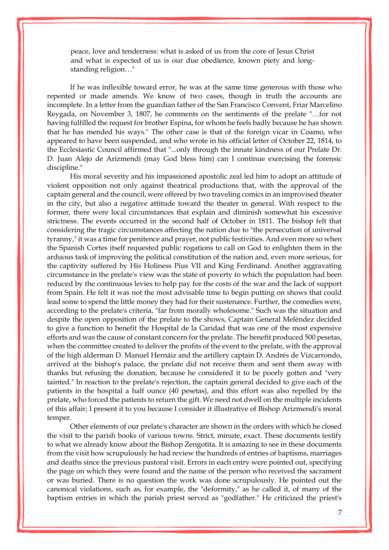peace, love and tenderness: what is asked of us from the core of Jesus Christ and what is expected of us is our due obedience, known piety and longstanding religion…"

If he was inflexible toward error, he was at the same time generous with those who repented or made amends. We know of two cases, though in truth the accounts are incomplete. In a letter from the guardian father of the San Francisco Convent, Friar Marcelino Reygada, on November 3, 1807, he comments on the sentiments of the prelate "…for not having fulfilled the request for brother Espina, for whom he feels badly because he has shown that he has mended his ways." The other case is that of the foreign vicar in [Coamo,](http://www.enciclopediapr.org/ing/article.cfm?ref=08052901) who appeared to have been suspended, and who wrote in his official letter of October 22, 1814, to the Ecclesiastic Council affirmed that "...only through the innate kindness of our Prelate Dr. D. Juan Alejo de Arizmendi (may God bless him) can I continue exercising the forensic discipline."

His moral severity and his impassioned apostolic zeal led him to adopt an attitude of violent opposition not only against theatrical productions that, with the approval of the captain general and the council, were offered by two traveling comics in an improvised theater in the city, but also a negative attitude toward the theater in general. With respect to the former, there were local circumstances that explain and diminish somewhat his excessive strictness. The events occurred in the second half of October in 1811. The bishop felt that considering the tragic circumstances affecting the nation due to "the persecution of universal tyranny,"it was a time for penitence and prayer, not public festivities. And even more so when the Spanish Cortes itself requested public rogations to call on God to enlighten them in the arduous task of improving the political constitution of the nation and, even more serious, for the captivity suffered by His Holiness Pius VII and King Ferdinand. Another aggravating circumstance in the prelate's view was the state of poverty to which the population had been reduced by the continuous levies to help pay for the costs of the war and the lack of support from Spain. He felt it was not the most advisable time to begin putting on shows that could lead some to spend the little money they had for their sustenance. Further, the comedies were, according to the prelate's criteria, "far from morally wholesome." Such was the situation and despite the open opposition of the prelate to the shows, Captain General Meléndez decided to give a function to benefit the Hospital de la Caridad that was one of the most expensive efforts and was the cause of constant concern for the prelate. The benefit produced 500 pesetas, when the committee created to deliver the profits of the event to the prelate, with the approval of the high alderman D. Manuel Hernáiz and the artillery captain D. Andrés de Vizcarrondo, arrived at the bishop's palace, the prelate did not receive them and sent them away with thanks but refusing the donation, because he considered it to be poorly gotten and "very tainted." In reaction to the prelate's rejection, the captain general decided to give each of the patients in the hospital a half ounce (40 pesetas), and this effort was also repelled by the prelate, who forced the patients to return the gift. We need not dwell on the multiple incidents of this affair; I present it to you because I consider it illustrative of Bishop Arizmendi's moral temper.

Other elements of our prelate's character are shown in the orders with which he closed the visit to the parish books of various towns. Strict, minute, exact. These documents testify to what we already know about the Bishop Zengotita. It is amazing to see in these documents from the visit how scrupulously he had review the hundreds of entries of baptisms, marriages and deaths since the previous pastoral visit. Errors in each entry were pointed out, specifying the page on which they were found and the name of the person who received the sacrament or was buried. There is no question the work was done scrupulously. He pointed out the canonical violations, such as, for example, the "deformity," as he called it, of many of the baptism entries in which the parish priest served as "godfather." He criticized the priest's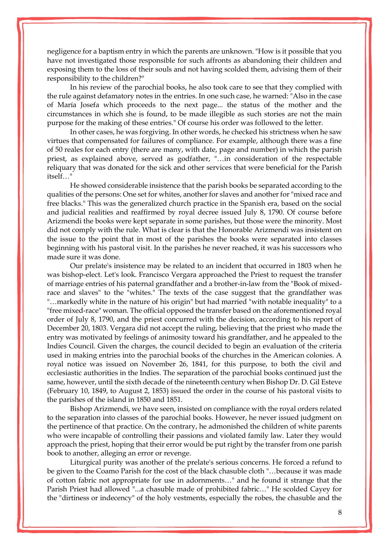negligence for a baptism entry in which the parents are unknown. "How is it possible that you have not investigated those responsible for such affronts as abandoning their children and exposing them to the loss of their souls and not having scolded them, advising them of their responsibility to the children?"

In his review of the parochial books, he also took care to see that they complied with the rule against defamatory notes in the entries. In one such case, he warned: "Also in the case of María Josefa which proceeds to the next page... the status of the mother and the circumstances in which she is found, to be made illegible as such stories are not the main purpose for the making of these entries." Of course his order was followed to the letter.

In other cases, he was forgiving. In other words, he checked his strictness when he saw virtues that compensated for failures of compliance. For example, although there was a fine of 50 reales for each entry (there are many, with date, page and number) in which the parish priest, as explained above, served as godfather, "…in consideration of the respectable reliquary that was donated for the sick and other services that were beneficial for the Parish itself…"

He showed considerable insistence that the parish books be separated according to the qualities of the persons: One set for whites, another for slaves and another for "mixed race and free blacks." This was the generalized church practice in the Spanish era, based on the social and judicial realities and reaffirmed by royal decree issued July 8, 1790. Of course before Arizmendi the books were kept separate in some parishes, but those were the minority. Most did not comply with the rule. What is clear is that the Honorable Arizmendi was insistent on the issue to the point that in most of the parishes the books were separated into classes beginning with his pastoral visit. In the parishes he never reached, it was his successors who made sure it was done.

Our prelate's insistence may be related to an incident that occurred in 1803 when he was bishop-elect. Let's look. Francisco Vergara approached the Priest to request the transfer of marriage entries of his paternal grandfather and a brother-in-law from the "Book of mixedrace and slaves" to the "whites." The texts of the case suggest that the grandfather was "…markedly white in the nature of his origin" but had married "with notable inequality" to a "free mixed-race" woman. The official opposed the transfer based on the aforementioned royal order of July 8, 1790, and the priest concurred with the decision, according to his report of December 20, 1803. Vergara did not accept the ruling, believing that the priest who made the entry was motivated by feelings of animosity toward his grandfather, and he appealed to the Indies Council. Given the charges, the council decided to begin an evaluation of the criteria used in making entries into the parochial books of the churches in the American colonies. A royal notice was issued on November 26, 1841, for this purpose, to both the civil and ecclesiastic authorities in the Indies. The separation of the parochial books continued just the same, however, until the sixth decade of the nineteenth century when Bishop Dr. D. Gil Esteve (February 10, 1849, to August 2, 1853) issued the order in the course of his pastoral visits to the parishes of the island in 1850 and 1851.

Bishop Arizmendi, we have seen, insisted on compliance with the royal orders related to the separation into classes of the parochial books. However, he never issued judgment on the pertinence of that practice. On the contrary, he admonished the children of white parents who were incapable of controlling their passions and violated family law. Later they would approach the priest, hoping that their error would be put right by the transfer from one parish book to another, alleging an error or revenge.

Liturgical purity was another of the prelate's serious concerns. He forced a refund to be given to the Coamo Parish for the cost of the black chasuble cloth "…because it was made of cotton fabric not appropriate for use in adornments…" and he found it strange that the Parish Priest had allowed "...a chasuble made of prohibited fabric…" He scolded Cayey for the "dirtiness or indecency" of the holy vestments, especially the robes, the chasuble and the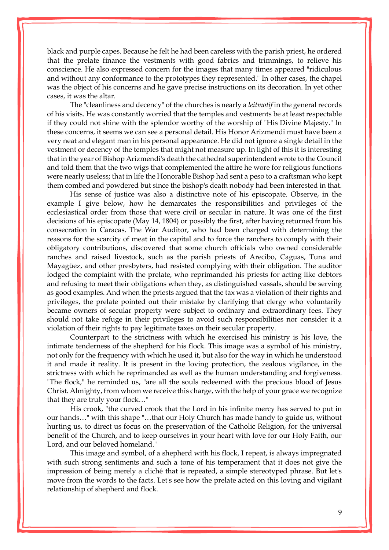black and purple capes. Because he felt he had been careless with the parish priest, he ordered that the prelate finance the vestments with good fabrics and trimmings, to relieve his conscience. He also expressed concern for the images that many times appeared "ridiculous and without any conformance to the prototypes they represented." In other cases, the chapel was the object of his concerns and he gave precise instructions on its decoration. In yet other cases, it was the altar.

The "cleanliness and decency" of the churches is nearly a *leitmotif* in the general records of his visits. He was constantly worried that the temples and vestments be at least respectable if they could not shine with the splendor worthy of the worship of "His Divine Majesty." In these concerns, it seems we can see a personal detail. His Honor Arizmendi must have been a very neat and elegant man in his personal appearance. He did not ignore a single detail in the vestment or decency of the temples that might not measure up. In light of this it is interesting that in the year of Bishop Arizmendi's death the cathedral superintendent wrote to the Council and told them that the two wigs that complemented the attire he wore for religious functions were nearly useless; that in life the Honorable Bishop had sent a peso to a craftsman who kept them combed and powdered but since the bishop's death nobody had been interested in that.

His sense of justice was also a distinctive note of his episcopate. Observe, in the example I give below, how he demarcates the responsibilities and privileges of the ecclesiastical order from those that were civil or secular in nature. It was one of the first decisions of his episcopate (May 14, 1804) or possibly the first, after having returned from his consecration in Caracas. The War Auditor, who had been charged with determining the reasons for the scarcity of meat in the capital and to force the ranchers to comply with their obligatory contributions, discovered that some church officials who owned considerable ranches and raised livestock, such as the parish priests of Arecibo, [Caguas,](http://www.enciclopediapr.org/ing/article.cfm?ref=08020402) Tuna and Mayagüez, and other presbyters, had resisted complying with their obligation. The auditor lodged the complaint with the prelate, who reprimanded his priests for acting like debtors and refusing to meet their obligations when they, as distinguished vassals, should be serving as good examples. And when the priests argued that the tax was a violation of their rights and privileges, the prelate pointed out their mistake by clarifying that clergy who voluntarily became owners of secular property were subject to ordinary and extraordinary fees. They should not take refuge in their privileges to avoid such responsibilities nor consider it a violation of their rights to pay legitimate taxes on their secular property.

Counterpart to the strictness with which he exercised his ministry is his love, the intimate tenderness of the shepherd for his flock. This image was a symbol of his ministry, not only for the frequency with which he used it, but also for the way in which he understood it and made it reality. It is present in the loving protection, the zealous vigilance, in the strictness with which he reprimanded as well as the human understanding and forgiveness. "The flock," he reminded us, "are all the souls redeemed with the precious blood of Jesus Christ. Almighty, from whom we receive this charge, with the help of your grace we recognize that they are truly your flock…"

His crook, "the curved crook that the Lord in his infinite mercy has served to put in our hands…" with this shape "…that our Holy Church has made handy to guide us, without hurting us, to direct us focus on the preservation of the Catholic Religion, for the universal benefit of the Church, and to keep ourselves in your heart with love for our Holy Faith, our Lord, and our beloved homeland."

This image and symbol, of a shepherd with his flock, I repeat, is always impregnated with such strong sentiments and such a tone of his temperament that it does not give the impression of being merely a cliché that is repeated, a simple stereotyped phrase. But let's move from the words to the facts. Let's see how the prelate acted on this loving and vigilant relationship of shepherd and flock.